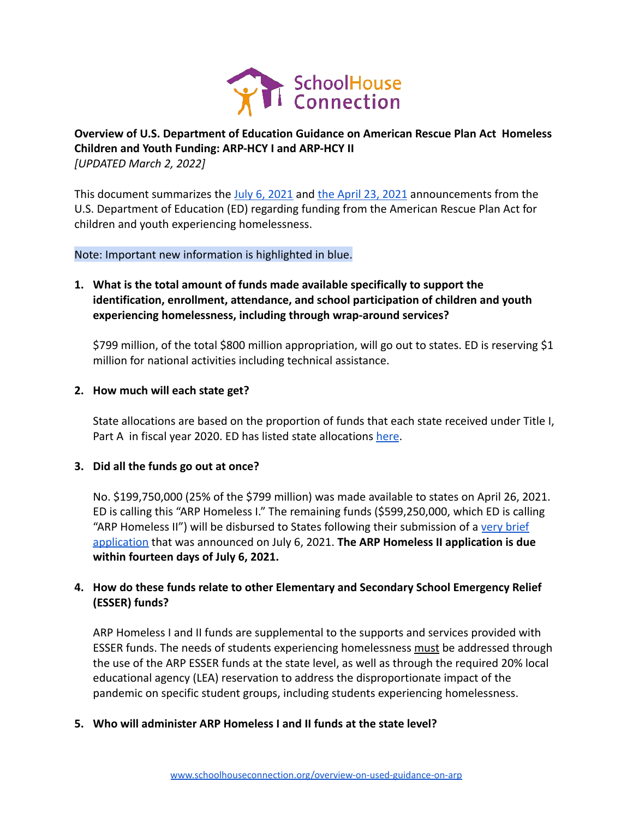

# **Overview of U.S. Department of Education Guidance on American Rescue Plan Act Homeless Children and Youth Funding: ARP-HCY I and ARP-HCY II** *[UPDATED March 2, 2022]*

This document summarizes the [July 6, 2021](https://oese.ed.gov/offices/american-rescue-plan/american-rescue-plan-elementary-secondary-school-emergency-relief-homeless-children-youth-arp-hcy/) and [the April 23, 2021](https://oese.ed.gov/files/2021/04/ARP-Homeless-DCL-4.23.pdf) announcements from the U.S. Department of Education (ED) regarding funding from the American Rescue Plan Act for children and youth experiencing homelessness.

Note: Important new information is highlighted in blue.

**1. What is the total amount of funds made available specifically to support the identification, enrollment, attendance, and school participation of children and youth experiencing homelessness, including through wrap-around services?**

\$799 million, of the total \$800 million appropriation, will go out to states. ED is reserving \$1 million for national activities including technical assistance.

## **2. How much will each state get?**

State allocations are based on the proportion of funds that each state received under Title I, Part A in fiscal year 2020. ED has listed state allocations [here](https://oese.ed.gov/files/2021/07/Revised-Attachment-1-ARP-Homeless-I-II-Total-Allocations.docx).

## **3. Did all the funds go out at once?**

No. \$199,750,000 (25% of the \$799 million) was made available to states on April 26, 2021. ED is calling this "ARP Homeless I." The remaining funds (\$599,250,000, which ED is calling "ARP Homeless II") will be disbursed to States following their submission of a [very brief](https://oese.ed.gov/files/2021/07/ARP-HCY-Application_FINAL_07-06-2021.docx) [application](https://oese.ed.gov/files/2021/07/ARP-HCY-Application_FINAL_07-06-2021.docx) that was announced on July 6, 2021. **The ARP Homeless II application is due within fourteen days of July 6, 2021.**

# **4. How do these funds relate to other Elementary and Secondary School Emergency Relief (ESSER) funds?**

ARP Homeless I and II funds are supplemental to the supports and services provided with ESSER funds. The needs of students experiencing homelessness must be addressed through the use of the ARP ESSER funds at the state level, as well as through the required 20% local educational agency (LEA) reservation to address the disproportionate impact of the pandemic on specific student groups, including students experiencing homelessness.

## **5. Who will administer ARP Homeless I and II funds at the state level?**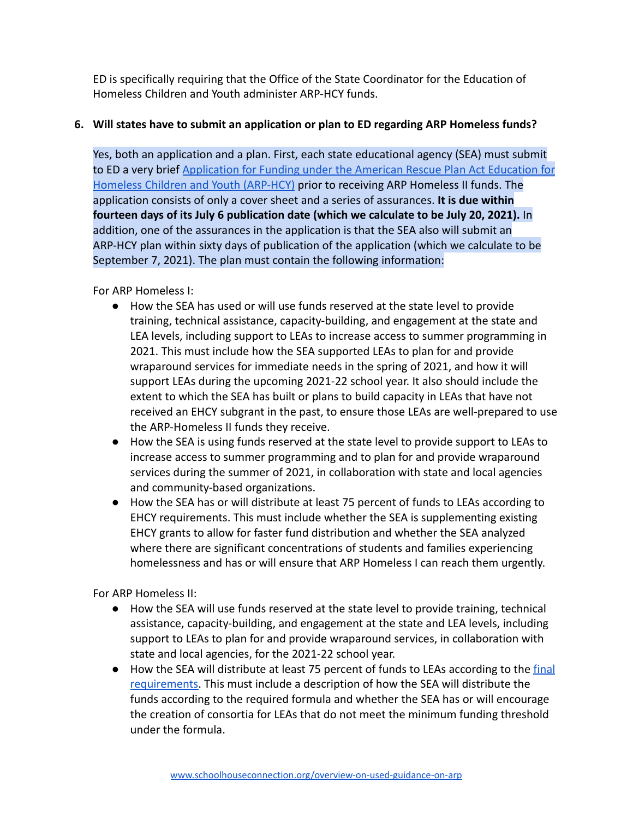ED is specifically requiring that the Office of the State Coordinator for the Education of Homeless Children and Youth administer ARP-HCY funds.

# **6. Will states have to submit an application or plan to ED regarding ARP Homeless funds?**

Yes, both an application and a plan. First, each state educational agency (SEA) must submit to ED a very brief [Application for Funding under the American Rescue Plan Act Education for](https://oese.ed.gov/files/2021/07/ARP-HCY-Application_FINAL_07-06-2021.docx) [Homeless Children and Youth \(ARP-HCY\)](https://oese.ed.gov/files/2021/07/ARP-HCY-Application_FINAL_07-06-2021.docx) prior to receiving ARP Homeless II funds. The application consists of only a cover sheet and a series of assurances. **It is due within fourteen days of its July 6 publication date (which we calculate to be July 20, 2021).** In addition, one of the assurances in the application is that the SEA also will submit an ARP-HCY plan within sixty days of publication of the application (which we calculate to be September 7, 2021). The plan must contain the following information:

For ARP Homeless I:

- How the SEA has used or will use funds reserved at the state level to provide training, technical assistance, capacity-building, and engagement at the state and LEA levels, including support to LEAs to increase access to summer programming in 2021. This must include how the SEA supported LEAs to plan for and provide wraparound services for immediate needs in the spring of 2021, and how it will support LEAs during the upcoming 2021-22 school year. It also should include the extent to which the SEA has built or plans to build capacity in LEAs that have not received an EHCY subgrant in the past, to ensure those LEAs are well-prepared to use the ARP-Homeless II funds they receive.
- How the SEA is using funds reserved at the state level to provide support to LEAs to increase access to summer programming and to plan for and provide wraparound services during the summer of 2021, in collaboration with state and local agencies and community-based organizations.
- How the SEA has or will distribute at least 75 percent of funds to LEAs according to EHCY requirements. This must include whether the SEA is supplementing existing EHCY grants to allow for faster fund distribution and whether the SEA analyzed where there are significant concentrations of students and families experiencing homelessness and has or will ensure that ARP Homeless I can reach them urgently.

For ARP Homeless II:

- How the SEA will use funds reserved at the state level to provide training, technical assistance, capacity-building, and engagement at the state and LEA levels, including support to LEAs to plan for and provide wraparound services, in collaboration with state and local agencies, for the 2021-22 school year.
- How the SEA will distribute at least 75 percent of funds to LEAs according to the [final](https://oese.ed.gov/files/2021/07/EO-12866-OESE-FY-21-NFR-ARP-HCY-with-disclaimer.docx) [requirements.](https://oese.ed.gov/files/2021/07/EO-12866-OESE-FY-21-NFR-ARP-HCY-with-disclaimer.docx) This must include a description of how the SEA will distribute the funds according to the required formula and whether the SEA has or will encourage the creation of consortia for LEAs that do not meet the minimum funding threshold under the formula.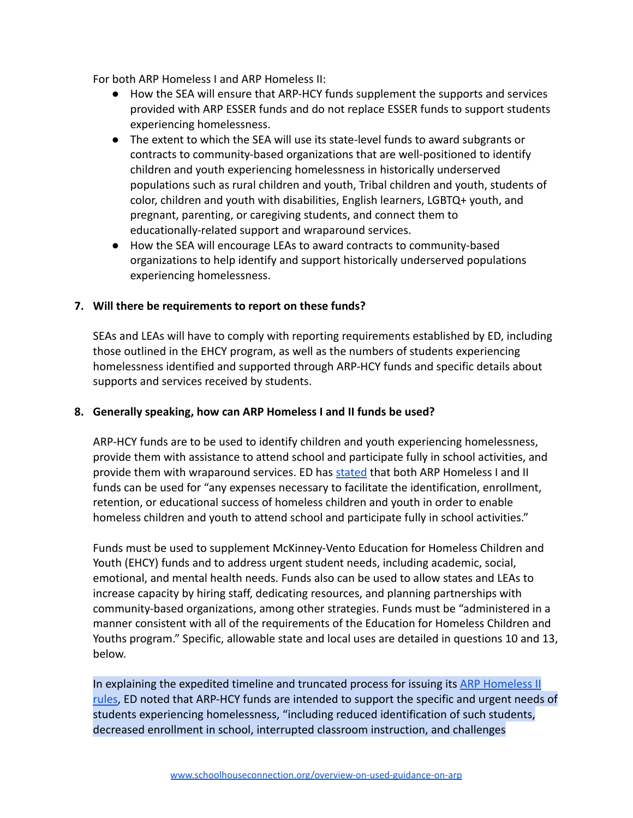For both ARP Homeless I and ARP Homeless II:

- How the SEA will ensure that ARP-HCY funds supplement the supports and services provided with ARP ESSER funds and do not replace ESSER funds to support students experiencing homelessness.
- The extent to which the SEA will use its state-level funds to award subgrants or contracts to community-based organizations that are well-positioned to identify children and youth experiencing homelessness in historically underserved populations such as rural children and youth, Tribal children and youth, students of color, children and youth with disabilities, English learners, LGBTQ+ youth, and pregnant, parenting, or caregiving students, and connect them to educationally-related support and wraparound services.
- How the SEA will encourage LEAs to award contracts to community-based organizations to help identify and support historically underserved populations experiencing homelessness.

#### **7. Will there be requirements to report on these funds?**

SEAs and LEAs will have to comply with reporting requirements established by ED, including those outlined in the EHCY program, as well as the numbers of students experiencing homelessness identified and supported through ARP-HCY funds and specific details about supports and services received by students.

#### **8. Generally speaking, how can ARP Homeless I and II funds be used?**

ARP-HCY funds are to be used to identify children and youth experiencing homelessness, provide them with assistance to attend school and participate fully in school activities, and provide them with wraparound services. ED has [stated](https://oese.ed.gov/files/2021/07/ARP-HCY-Application_FINAL_07-06-2021.docx) that both ARP Homeless I and II funds can be used for "any expenses necessary to facilitate the identification, enrollment, retention, or educational success of homeless children and youth in order to enable homeless children and youth to attend school and participate fully in school activities."

Funds must be used to supplement McKinney-Vento Education for Homeless Children and Youth (EHCY) funds and to address urgent student needs, including academic, social, emotional, and mental health needs. Funds also can be used to allow states and LEAs to increase capacity by hiring staff, dedicating resources, and planning partnerships with community-based organizations, among other strategies. Funds must be "administered in a manner consistent with all of the requirements of the Education for Homeless Children and Youths program." Specific, allowable state and local uses are detailed in questions 10 and 13, below.

In explaining the expedited timeline and truncated process for issuing its [ARP Homeless II](https://oese.ed.gov/files/2021/07/EO-12866-OESE-FY-21-NFR-ARP-HCY-with-disclaimer.docx) [rules,](https://oese.ed.gov/files/2021/07/EO-12866-OESE-FY-21-NFR-ARP-HCY-with-disclaimer.docx) ED noted that ARP-HCY funds are intended to support the specific and urgent needs of students experiencing homelessness, "including reduced identification of such students, decreased enrollment in school, interrupted classroom instruction, and challenges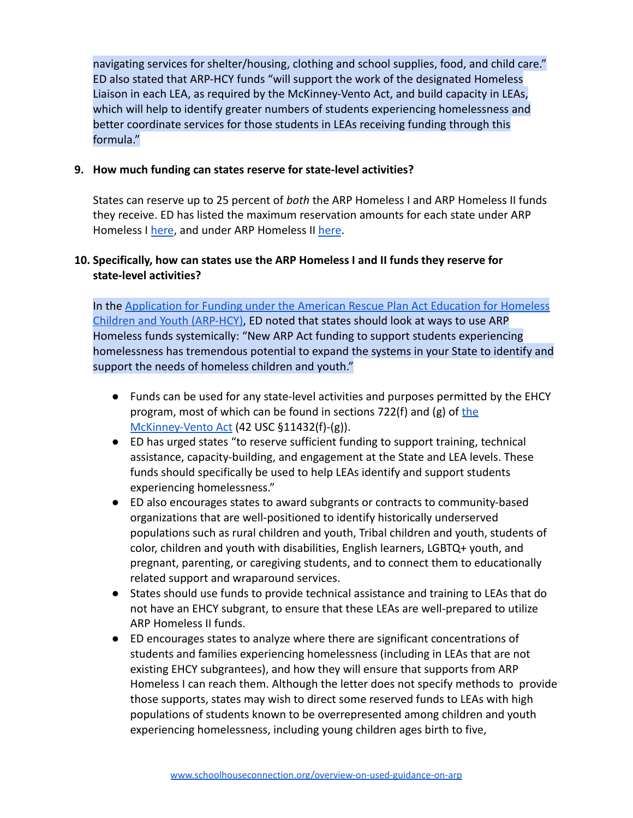navigating services for shelter/housing, clothing and school supplies, food, and child care." ED also stated that ARP-HCY funds "will support the work of the designated Homeless Liaison in each LEA, as required by the McKinney-Vento Act, and build capacity in LEAs, which will help to identify greater numbers of students experiencing homelessness and better coordinate services for those students in LEAs receiving funding through this formula."

# **9. How much funding can states reserve for state-level activities?**

States can reserve up to 25 percent of *both* the ARP Homeless I and ARP Homeless II funds they receive. ED has listed the maximum reservation amounts for each state under ARP Homeless I [here](https://oese.ed.gov/files/2021/07/Attachment-3-ARP-Homeless-II-SEA-Reservations.docx), and under ARP Homeless II here.

# **10. Specifically, how can states use the ARP Homeless I and II funds they reserve for state-level activities?**

In the [Application for Funding under the American Rescue Plan Act Education for Homeless](https://oese.ed.gov/files/2021/07/ARP-HCY-Application_FINAL_07-06-2021.docx) [Children and Youth \(ARP-HCY\)](https://oese.ed.gov/files/2021/07/ARP-HCY-Application_FINAL_07-06-2021.docx), ED noted that states should look at ways to use ARP Homeless funds systemically: "New ARP Act funding to support students experiencing homelessness has tremendous potential to expand the systems in your State to identify and support the needs of homeless children and youth."

- Funds can be used for any state-level activities and purposes permitted by the EHCY program, most of which can be found in sections  $722(f)$  and (g) of [the](https://schoolhouseconnection.org/wp-content/uploads/2016/12/TextofMV.pdf) [McKinney-Vento Act](https://schoolhouseconnection.org/wp-content/uploads/2016/12/TextofMV.pdf) (42 USC §11432(f)-(g)).
- ED has urged states "to reserve sufficient funding to support training, technical assistance, capacity-building, and engagement at the State and LEA levels. These funds should specifically be used to help LEAs identify and support students experiencing homelessness."
- ED also encourages states to award subgrants or contracts to community-based organizations that are well-positioned to identify historically underserved populations such as rural children and youth, Tribal children and youth, students of color, children and youth with disabilities, English learners, LGBTQ+ youth, and pregnant, parenting, or caregiving students, and to connect them to educationally related support and wraparound services.
- States should use funds to provide technical assistance and training to LEAs that do not have an EHCY subgrant, to ensure that these LEAs are well-prepared to utilize ARP Homeless II funds.
- ED encourages states to analyze where there are significant concentrations of students and families experiencing homelessness (including in LEAs that are not existing EHCY subgrantees), and how they will ensure that supports from ARP Homeless I can reach them. Although the letter does not specify methods to provide those supports, states may wish to direct some reserved funds to LEAs with high populations of students known to be overrepresented among children and youth experiencing homelessness, including young children ages birth to five,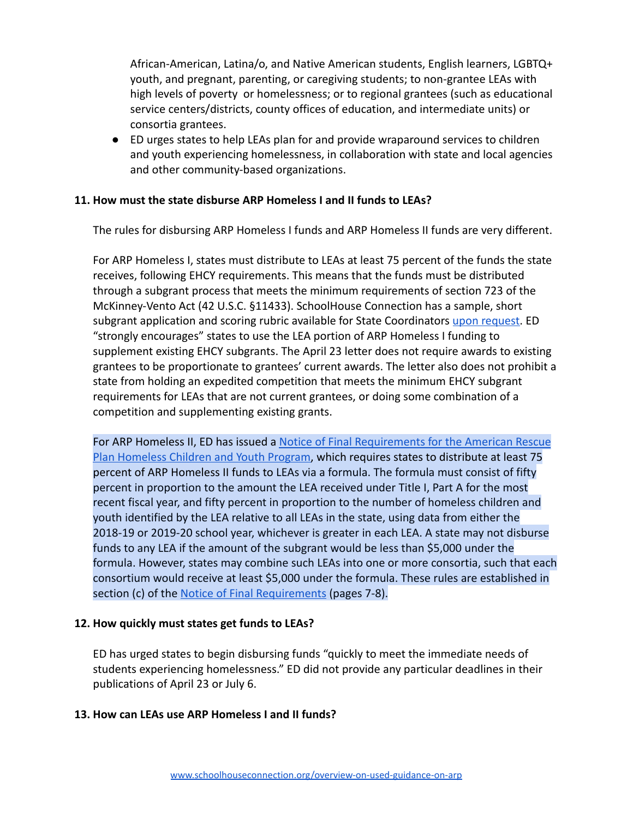African-American, Latina/o, and Native American students, English learners, LGBTQ+ youth, and pregnant, parenting, or caregiving students; to non-grantee LEAs with high levels of poverty or homelessness; or to regional grantees (such as educational service centers/districts, county offices of education, and intermediate units) or consortia grantees.

● ED urges states to help LEAs plan for and provide wraparound services to children and youth experiencing homelessness, in collaboration with state and local agencies and other community-based organizations.

## **11. How must the state disburse ARP Homeless I and II funds to LEAs?**

The rules for disbursing ARP Homeless I funds and ARP Homeless II funds are very different.

For ARP Homeless I, states must distribute to LEAs at least 75 percent of the funds the state receives, following EHCY requirements. This means that the funds must be distributed through a subgrant process that meets the minimum requirements of section 723 of the McKinney-Vento Act (42 U.S.C. §11433). SchoolHouse Connection has a sample, short subgrant application and scoring rubric available for State Coordinators [upon request.](mailto:patricia@schoolhouseconnection.org) ED "strongly encourages" states to use the LEA portion of ARP Homeless I funding to supplement existing EHCY subgrants. The April 23 letter does not require awards to existing grantees to be proportionate to grantees' current awards. The letter also does not prohibit a state from holding an expedited competition that meets the minimum EHCY subgrant requirements for LEAs that are not current grantees, or doing some combination of a competition and supplementing existing grants.

For ARP Homeless II, ED has issued a [Notice of Final Requirements for the American Rescue](https://oese.ed.gov/files/2021/07/EO-12866-OESE-FY-21-NFR-ARP-HCY-with-disclaimer.docx) [Plan Homeless Children and Youth Program,](https://oese.ed.gov/files/2021/07/EO-12866-OESE-FY-21-NFR-ARP-HCY-with-disclaimer.docx) which requires states to distribute at least 75 percent of ARP Homeless II funds to LEAs via a formula. The formula must consist of fifty percent in proportion to the amount the LEA received under Title I, Part A for the most recent fiscal year, and fifty percent in proportion to the number of homeless children and youth identified by the LEA relative to all LEAs in the state, using data from either the 2018-19 or 2019-20 school year, whichever is greater in each LEA. A state may not disburse funds to any LEA if the amount of the subgrant would be less than \$5,000 under the formula. However, states may combine such LEAs into one or more consortia, such that each consortium would receive at least \$5,000 under the formula. These rules are established in section (c) of the [Notice of Final Requirements](https://oese.ed.gov/files/2021/07/EO-12866-OESE-FY-21-NFR-ARP-HCY-with-disclaimer.docx) (pages 7-8).

## **12. How quickly must states get funds to LEAs?**

ED has urged states to begin disbursing funds "quickly to meet the immediate needs of students experiencing homelessness." ED did not provide any particular deadlines in their publications of April 23 or July 6.

## **13. How can LEAs use ARP Homeless I and II funds?**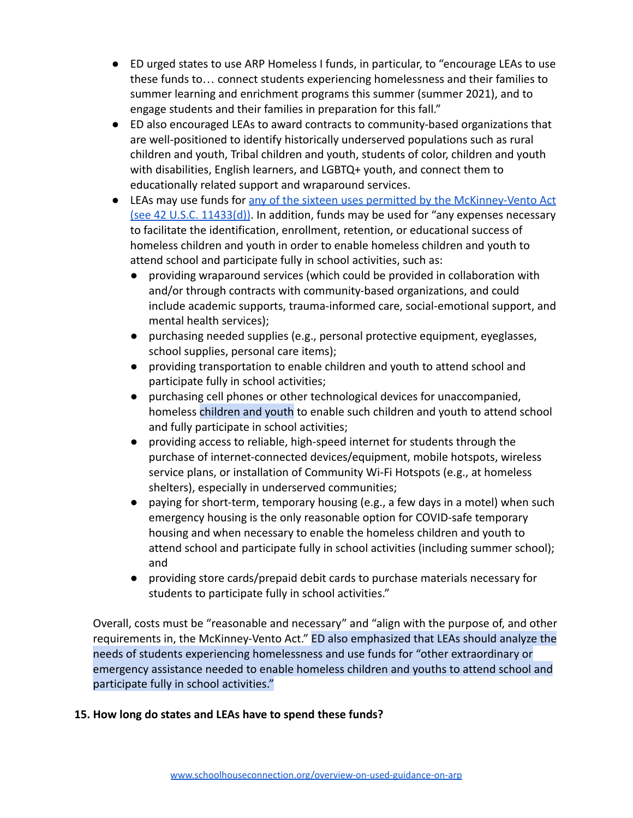- ED urged states to use ARP Homeless I funds, in particular, to "encourage LEAs to use these funds to… connect students experiencing homelessness and their families to summer learning and enrichment programs this summer (summer 2021), and to engage students and their families in preparation for this fall."
- ED also encouraged LEAs to award contracts to community-based organizations that are well-positioned to identify historically underserved populations such as rural children and youth, Tribal children and youth, students of color, children and youth with disabilities, English learners, and LGBTQ+ youth, and connect them to educationally related support and wraparound services.
- LEAs may use funds for [any of the sixteen uses permitted by the McKinney-Vento Act](https://schoolhouseconnection.org/wp-content/uploads/2021/04/Activities-Authorized-Under-Section-723d-of-the-McKinney-Vento-Act.pdf) [\(see 42 U.S.C. 11433\(d\)\)](https://schoolhouseconnection.org/wp-content/uploads/2021/04/Activities-Authorized-Under-Section-723d-of-the-McKinney-Vento-Act.pdf). In addition, funds may be used for "any expenses necessary to facilitate the identification, enrollment, retention, or educational success of homeless children and youth in order to enable homeless children and youth to attend school and participate fully in school activities, such as:
	- providing wraparound services (which could be provided in collaboration with and/or through contracts with community-based organizations, and could include academic supports, trauma-informed care, social-emotional support, and mental health services);
	- purchasing needed supplies (e.g., personal protective equipment, eyeglasses, school supplies, personal care items);
	- providing transportation to enable children and youth to attend school and participate fully in school activities;
	- purchasing cell phones or other technological devices for unaccompanied, homeless children and youth to enable such children and youth to attend school and fully participate in school activities;
	- providing access to reliable, high-speed internet for students through the purchase of internet-connected devices/equipment, mobile hotspots, wireless service plans, or installation of Community Wi-Fi Hotspots (e.g., at homeless shelters), especially in underserved communities;
	- $\bullet$  paying for short-term, temporary housing (e.g., a few days in a motel) when such emergency housing is the only reasonable option for COVID-safe temporary housing and when necessary to enable the homeless children and youth to attend school and participate fully in school activities (including summer school); and
	- providing store cards/prepaid debit cards to purchase materials necessary for students to participate fully in school activities."

Overall, costs must be "reasonable and necessary" and "align with the purpose of, and other requirements in, the McKinney-Vento Act." ED also emphasized that LEAs should analyze the needs of students experiencing homelessness and use funds for "other extraordinary or emergency assistance needed to enable homeless children and youths to attend school and participate fully in school activities."

# **15. How long do states and LEAs have to spend these funds?**